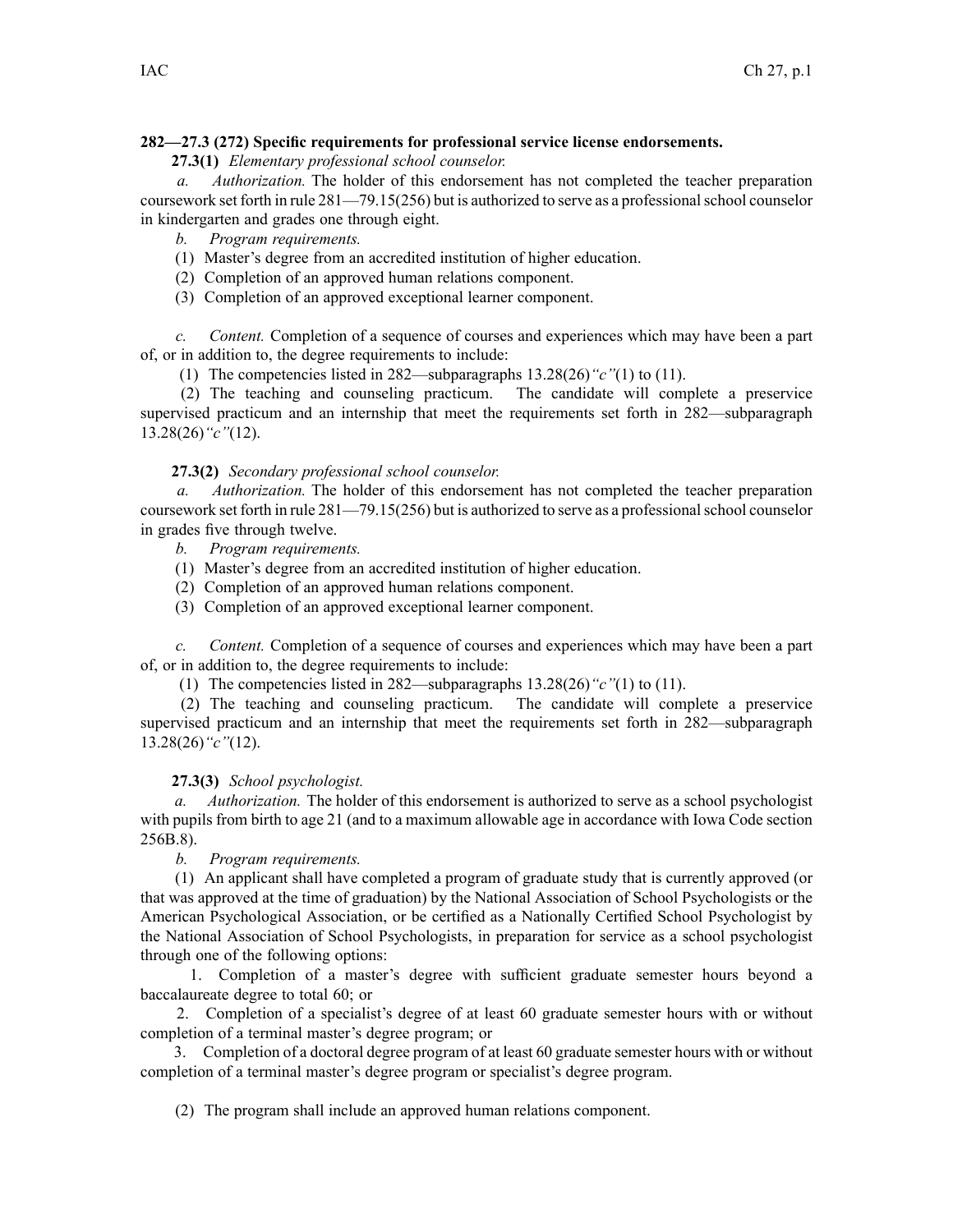### **282—27.3 (272) Specific requirements for professional service license endorsements.**

**27.3(1)** *Elementary professional school counselor.*

*a. Authorization.* The holder of this endorsement has not completed the teacher preparation coursework set forth in rule 281—79.15(256) but is authorized to serve as <sup>a</sup> professionalschool counselor in kindergarten and grades one through eight.

*b. Program requirements.*

- (1) Master's degree from an accredited institution of higher education.
- (2) Completion of an approved human relations component.
- (3) Completion of an approved exceptional learner component.

*c. Content.* Completion of <sup>a</sup> sequence of courses and experiences which may have been <sup>a</sup> par<sup>t</sup> of, or in addition to, the degree requirements to include:

(1) The competencies listed in 282—subparagraphs 13.28(26)*"c"*(1) to (11).

(2) The teaching and counseling practicum. The candidate will complete <sup>a</sup> preservice supervised practicum and an internship that meet the requirements set forth in 282—subparagraph 13.28(26)*"c"*(12).

## **27.3(2)** *Secondary professional school counselor.*

*a. Authorization.* The holder of this endorsement has not completed the teacher preparation coursework set forth in rule 281—79.15(256) but is authorized to serve as a professional school counselor in grades five through twelve.

*b. Program requirements.*

- (1) Master's degree from an accredited institution of higher education.
- (2) Completion of an approved human relations component.
- (3) Completion of an approved exceptional learner component.

*c. Content.* Completion of <sup>a</sup> sequence of courses and experiences which may have been <sup>a</sup> par<sup>t</sup> of, or in addition to, the degree requirements to include:

(1) The competencies listed in 282—subparagraphs 13.28(26)*"c"*(1) to (11).

(2) The teaching and counseling practicum. The candidate will complete <sup>a</sup> preservice supervised practicum and an internship that meet the requirements set forth in 282—subparagraph 13.28(26)*"c"*(12).

### **27.3(3)** *School psychologist.*

*a. Authorization.* The holder of this endorsement is authorized to serve as <sup>a</sup> school psychologist with pupils from birth to age 21 (and to a maximum allowable age in accordance with Iowa Code section [256B.8](https://www.legis.iowa.gov/docs/ico/section/256B.8.pdf)).

*b. Program requirements.*

(1) An applicant shall have completed <sup>a</sup> program of graduate study that is currently approved (or that was approved at the time of graduation) by the National Association of School Psychologists or the American Psychological Association, or be certified as <sup>a</sup> Nationally Certified School Psychologist by the National Association of School Psychologists, in preparation for service as <sup>a</sup> school psychologist through one of the following options:

1. Completion of <sup>a</sup> master's degree with sufficient graduate semester hours beyond <sup>a</sup> baccalaureate degree to total 60; or

2. Completion of <sup>a</sup> specialist's degree of at least 60 graduate semester hours with or without completion of <sup>a</sup> terminal master's degree program; or

3. Completion of <sup>a</sup> doctoral degree program of at least 60 graduate semester hours with or without completion of <sup>a</sup> terminal master's degree program or specialist's degree program.

(2) The program shall include an approved human relations component.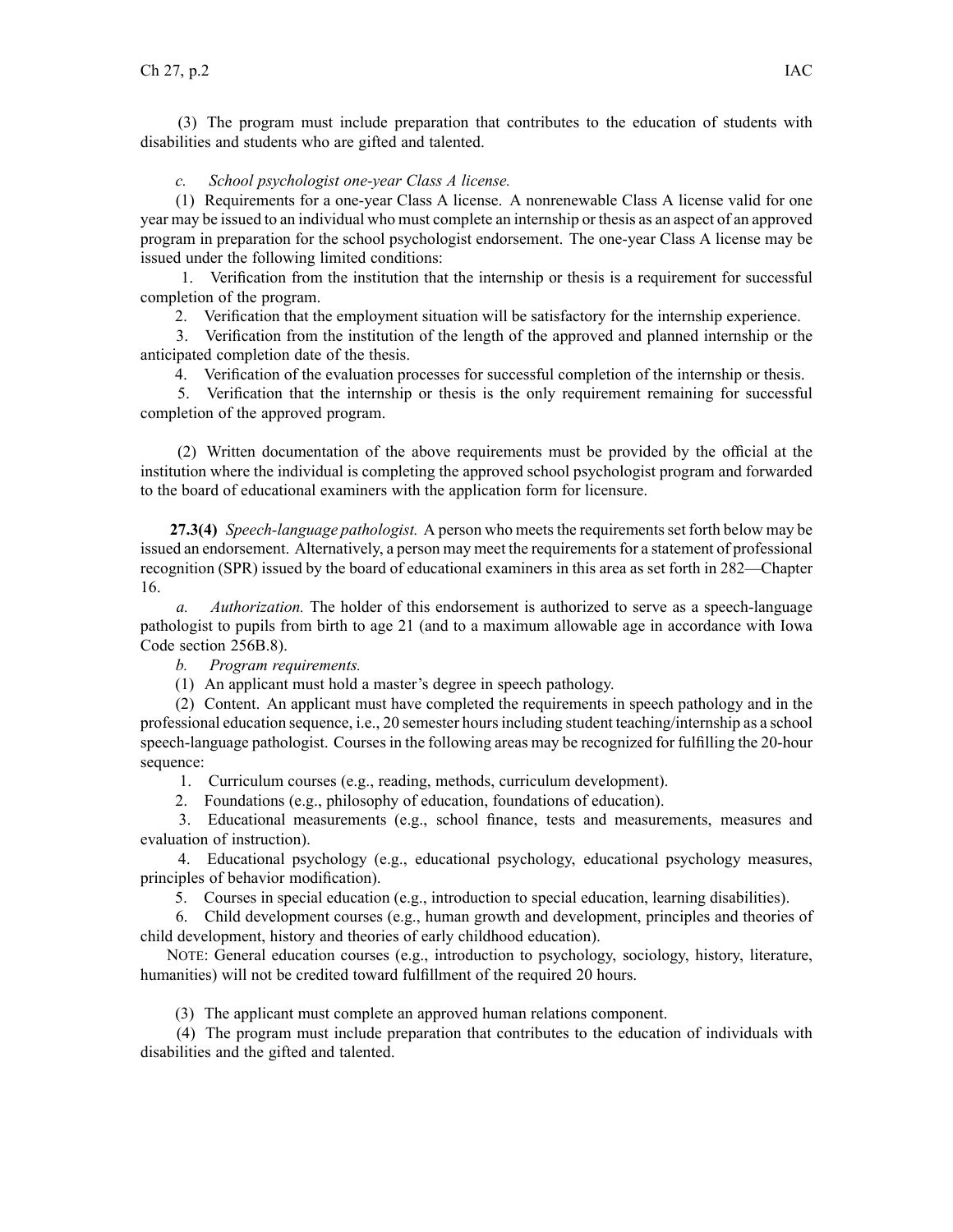(3) The program must include preparation that contributes to the education of students with disabilities and students who are gifted and talented.

## *c. School psychologist one-year Class A license.*

(1) Requirements for <sup>a</sup> one-year Class A license. A nonrenewable Class A license valid for one year may be issued to an individual who must complete an internship or thesis as an aspec<sup>t</sup> of an approved program in preparation for the school psychologist endorsement. The one-year Class A license may be issued under the following limited conditions:

1. Verification from the institution that the internship or thesis is <sup>a</sup> requirement for successful completion of the program.

2. Verification that the employment situation will be satisfactory for the internship experience.

3. Verification from the institution of the length of the approved and planned internship or the anticipated completion date of the thesis.

4. Verification of the evaluation processes for successful completion of the internship or thesis.

5. Verification that the internship or thesis is the only requirement remaining for successful completion of the approved program.

(2) Written documentation of the above requirements must be provided by the official at the institution where the individual is completing the approved school psychologist program and forwarded to the board of educational examiners with the application form for licensure.

**27.3(4)** *Speech-language pathologist.* A person who meetsthe requirementsset forth below may be issued an endorsement. Alternatively, a person may meet the requirements for a statement of professional recognition (SPR) issued by the board of educational examiners in this area as set forth in 282—Chapter 16.

*a. Authorization.* The holder of this endorsement is authorized to serve as <sup>a</sup> speech-language pathologist to pupils from birth to age 21 (and to <sup>a</sup> maximum allowable age in accordance with Iowa Code section [256B.8\)](https://www.legis.iowa.gov/docs/ico/section/256B.8.pdf).

*b. Program requirements.*

(1) An applicant must hold <sup>a</sup> master's degree in speech pathology.

(2) Content. An applicant must have completed the requirements in speech pathology and in the professional education sequence, i.e., 20 semester hoursincluding student teaching/internship as <sup>a</sup> school speech-language pathologist. Courses in the following areas may be recognized for fulfilling the 20-hour sequence:

1. Curriculum courses (e.g., reading, methods, curriculum development).

2. Foundations (e.g., philosophy of education, foundations of education).

3. Educational measurements (e.g., school finance, tests and measurements, measures and evaluation of instruction).

4. Educational psychology (e.g., educational psychology, educational psychology measures, principles of behavior modification).

5. Courses in special education (e.g., introduction to special education, learning disabilities).

6. Child development courses (e.g., human growth and development, principles and theories of child development, history and theories of early childhood education).

NOTE: General education courses (e.g., introduction to psychology, sociology, history, literature, humanities) will not be credited toward fulfillment of the required 20 hours.

(3) The applicant must complete an approved human relations component.

(4) The program must include preparation that contributes to the education of individuals with disabilities and the gifted and talented.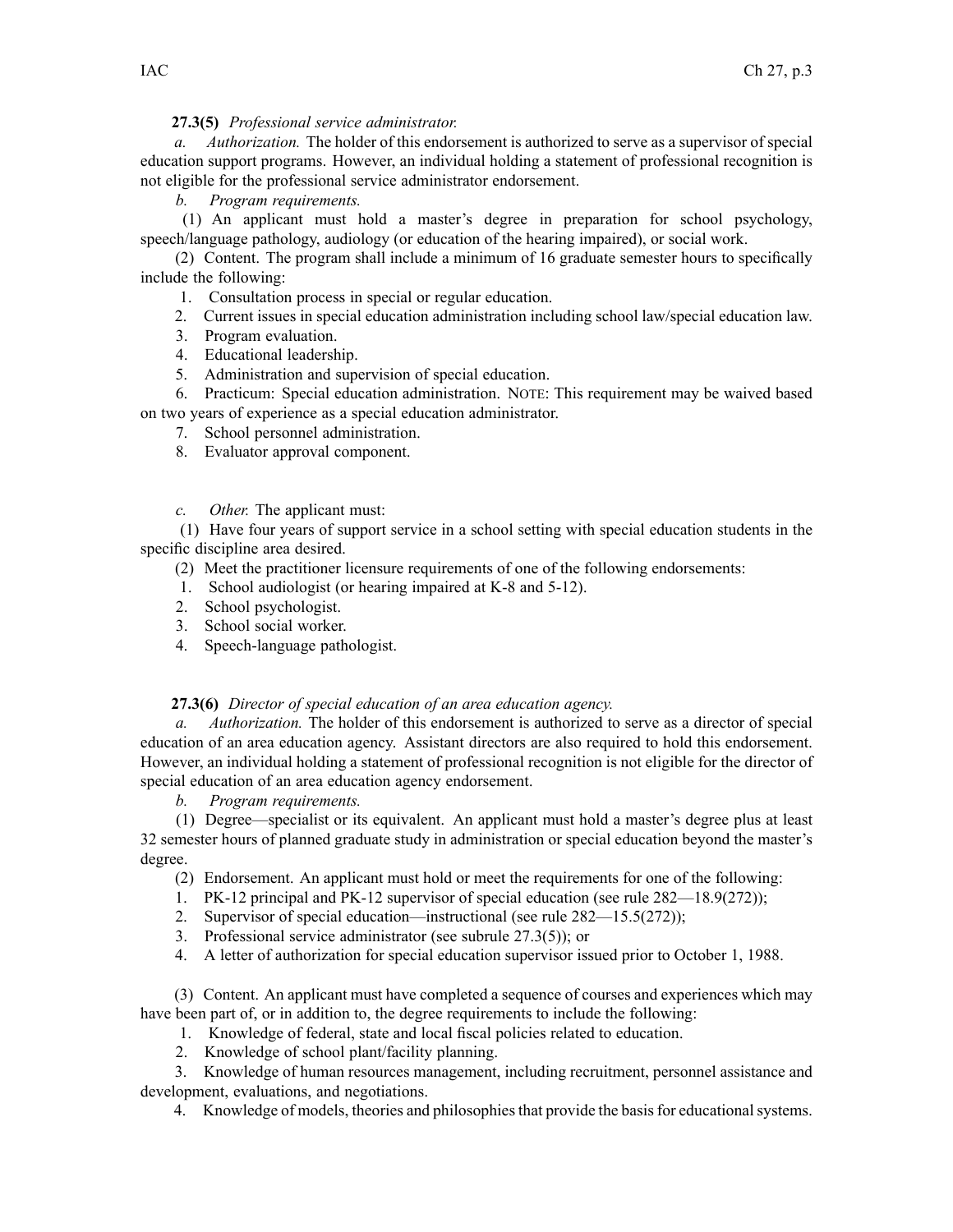# **27.3(5)** *Professional service administrator.*

*a. Authorization.* The holder of this endorsement is authorized to serve as <sup>a</sup> supervisor of special education suppor<sup>t</sup> programs. However, an individual holding <sup>a</sup> statement of professional recognition is not eligible for the professional service administrator endorsement.

## *b. Program requirements.*

(1) An applicant must hold <sup>a</sup> master's degree in preparation for school psychology, speech/language pathology, audiology (or education of the hearing impaired), or social work.

(2) Content. The program shall include <sup>a</sup> minimum of 16 graduate semester hours to specifically include the following:

- 1. Consultation process in special or regular education.
- 2. Current issues in special education administration including school law/special education law.
- 3. Program evaluation.
- 4. Educational leadership.
- 5. Administration and supervision of special education.

6. Practicum: Special education administration. NOTE: This requirement may be waived based on two years of experience as <sup>a</sup> special education administrator.

- 7. School personnel administration.
- 8. Evaluator approval component.
- *c. Other.* The applicant must:

(1) Have four years of suppor<sup>t</sup> service in <sup>a</sup> school setting with special education students in the specific discipline area desired.

(2) Meet the practitioner licensure requirements of one of the following endorsements:

- 1. School audiologist (or hearing impaired at K-8 and 5-12).
- 2. School psychologist.
- 3. School social worker.
- 4. Speech-language pathologist.

### **27.3(6)** *Director of special education of an area education agency.*

*a. Authorization.* The holder of this endorsement is authorized to serve as <sup>a</sup> director of special education of an area education agency. Assistant directors are also required to hold this endorsement. However, an individual holding <sup>a</sup> statement of professional recognition is not eligible for the director of special education of an area education agency endorsement.

*b. Program requirements.*

(1) Degree—specialist or its equivalent. An applicant must hold <sup>a</sup> master's degree plus at least 32 semester hours of planned graduate study in administration or special education beyond the master's degree.

- (2) Endorsement. An applicant must hold or meet the requirements for one of the following:
- 1. PK-12 principal and PK-12 supervisor of special education (see rule 282—18.9(272));
- 2. Supervisor of special education—instructional (see rule 282—15.5(272));
- 3. Professional service administrator (see subrule 27.3(5)); or
- 4. A letter of authorization for special education supervisor issued prior to October 1, 1988.

(3) Content. An applicant must have completed <sup>a</sup> sequence of courses and experiences which may have been par<sup>t</sup> of, or in addition to, the degree requirements to include the following:

- 1. Knowledge of federal, state and local fiscal policies related to education.
- 2. Knowledge of school plant/facility planning.

3. Knowledge of human resources management, including recruitment, personnel assistance and development, evaluations, and negotiations.

4. Knowledge of models, theories and philosophies that provide the basis for educational systems.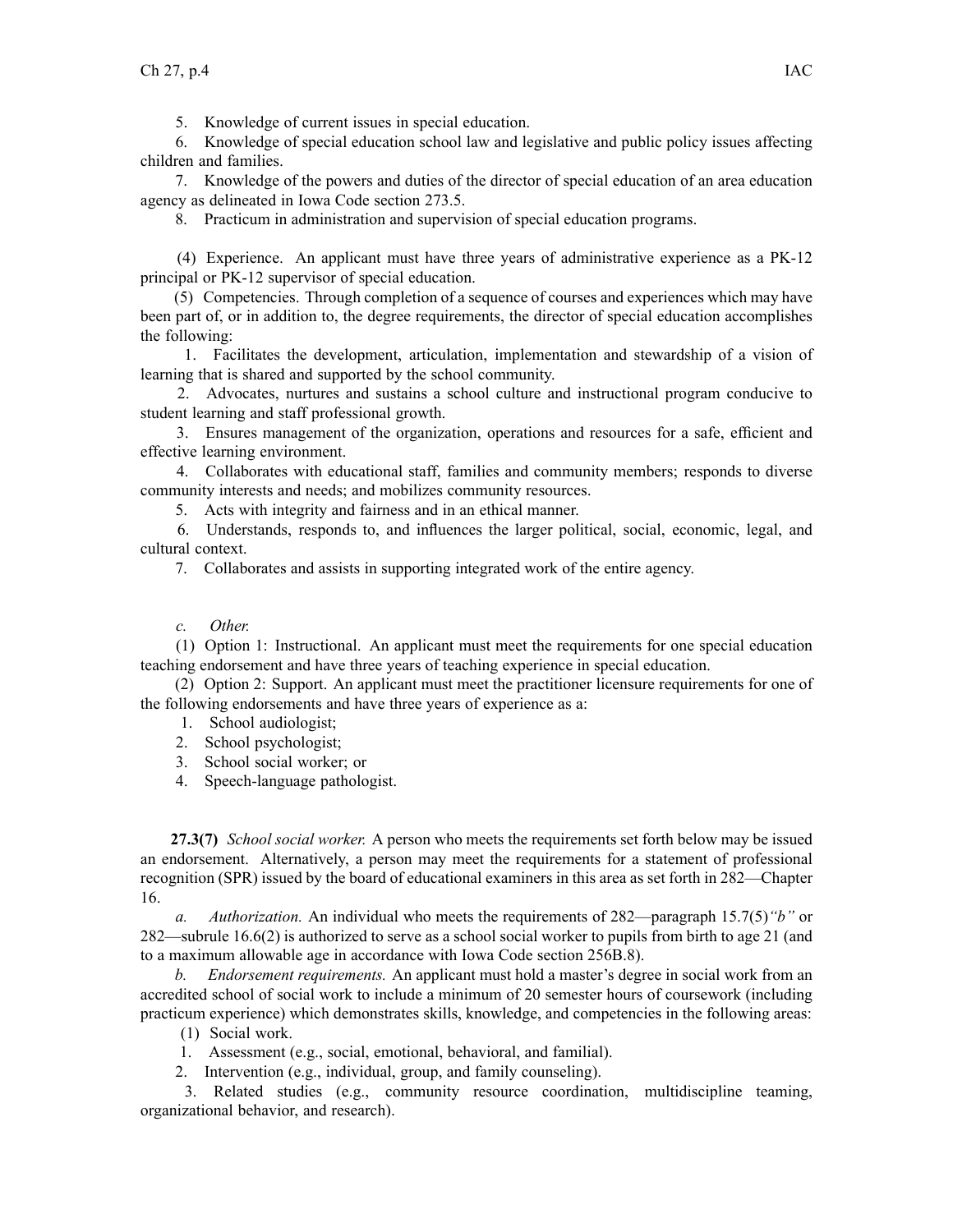5. Knowledge of current issues in special education.

6. Knowledge of special education school law and legislative and public policy issues affecting children and families.

7. Knowledge of the powers and duties of the director of special education of an area education agency as delineated in Iowa Code section [273.5](https://www.legis.iowa.gov/docs/ico/section/273.5.pdf).

8. Practicum in administration and supervision of special education programs.

(4) Experience. An applicant must have three years of administrative experience as <sup>a</sup> PK-12 principal or PK-12 supervisor of special education.

(5) Competencies. Through completion of <sup>a</sup> sequence of courses and experiences which may have been par<sup>t</sup> of, or in addition to, the degree requirements, the director of special education accomplishes the following:

1. Facilitates the development, articulation, implementation and stewardship of <sup>a</sup> vision of learning that is shared and supported by the school community.

2. Advocates, nurtures and sustains <sup>a</sup> school culture and instructional program conducive to student learning and staff professional growth.

3. Ensures managemen<sup>t</sup> of the organization, operations and resources for <sup>a</sup> safe, efficient and effective learning environment.

4. Collaborates with educational staff, families and community members; responds to diverse community interests and needs; and mobilizes community resources.

5. Acts with integrity and fairness and in an ethical manner.

6. Understands, responds to, and influences the larger political, social, economic, legal, and cultural context.

7. Collaborates and assists in supporting integrated work of the entire agency.

*c. Other.*

(1) Option 1: Instructional. An applicant must meet the requirements for one special education teaching endorsement and have three years of teaching experience in special education.

(2) Option 2: Support. An applicant must meet the practitioner licensure requirements for one of the following endorsements and have three years of experience as a:

- 1. School audiologist;
- 2. School psychologist;
- 3. School social worker; or
- 4. Speech-language pathologist.

**27.3(7)** *School social worker.* A person who meets the requirements set forth below may be issued an endorsement. Alternatively, <sup>a</sup> person may meet the requirements for <sup>a</sup> statement of professional recognition (SPR) issued by the board of educational examiners in this area as set forth in 282—Chapter 16.

*a. Authorization.* An individual who meets the requirements of 282—paragraph 15.7(5)*"b"* or 282—subrule 16.6(2) is authorized to serve as <sup>a</sup> school social worker to pupils from birth to age 21 (and to <sup>a</sup> maximum allowable age in accordance with Iowa Code section [256B.8](https://www.legis.iowa.gov/docs/ico/section/256B.8.pdf)).

*b. Endorsement requirements.* An applicant must hold <sup>a</sup> master's degree in social work from an accredited school of social work to include <sup>a</sup> minimum of 20 semester hours of coursework (including practicum experience) which demonstrates skills, knowledge, and competencies in the following areas:

(1) Social work.

- 1. Assessment (e.g., social, emotional, behavioral, and familial).
- 2. Intervention (e.g., individual, group, and family counseling).

3. Related studies (e.g., community resource coordination, multidiscipline teaming, organizational behavior, and research).